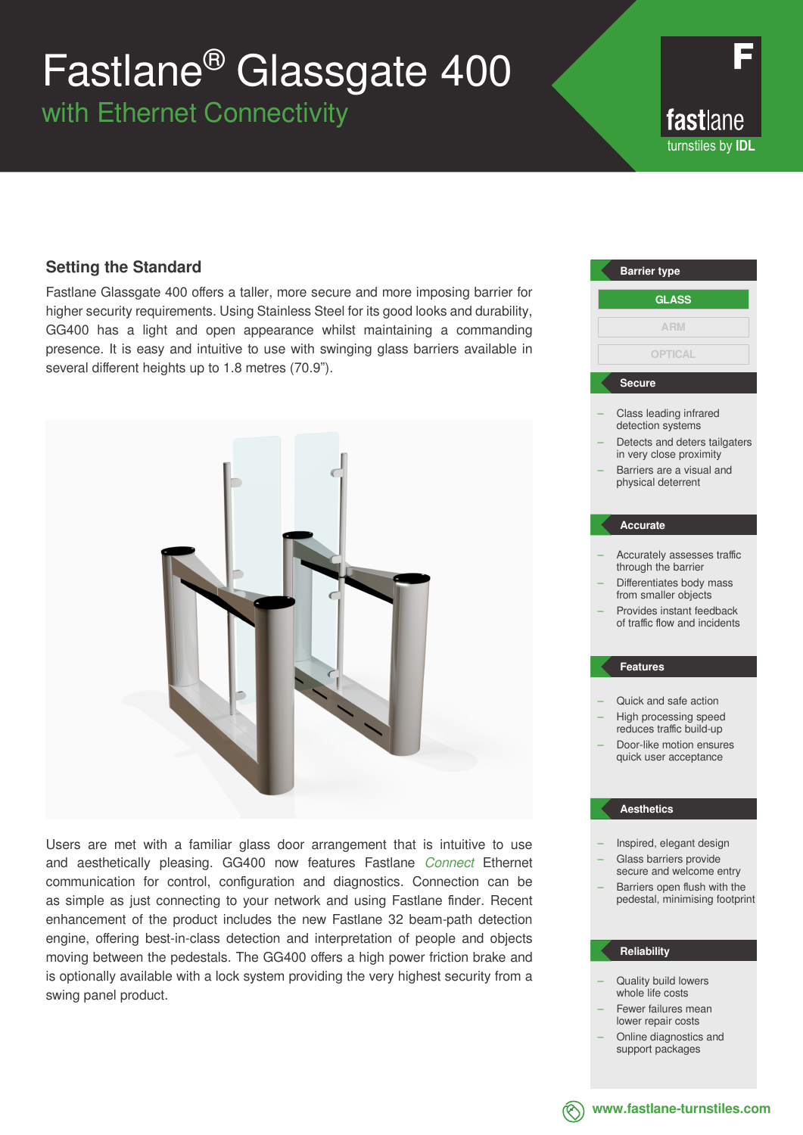# Fastlane® Glassgate 400

with Ethernet Connectivity

fastlane turnstiles by **IDL**

### **Setting the Standard**

Fastlane Glassgate 400 offers a taller, more secure and more imposing barrier for higher security requirements. Using Stainless Steel for its good looks and durability, GG400 has a light and open appearance whilst maintaining a commanding presence. It is easy and intuitive to use with swinging glass barriers available in several different heights up to 1.8 metres (70.9").



Users are met with a familiar glass door arrangement that is intuitive to use and aesthetically pleasing. GG400 now features Fastlane *Connect* Ethernet communication for control, configuration and diagnostics. Connection can be as simple as just connecting to your network and using Fastlane finder. Recent enhancement of the product includes the new Fastlane 32 beam-path detection engine, offering best-in-class detection and interpretation of people and objects moving between the pedestals. The GG400 offers a high power friction brake and is optionally available with a lock system providing the very highest security from a swing panel product.

### Class leading infrared detection systems Detects and deters tailgaters in very close proximity – Barriers are a visual and physical deterrent – Accurately assesses traffic through the barrier – Differentiates body mass from smaller objects – Provides instant feedback of traffic flow and incidents – Quick and safe action – High processing speed reduces traffic build-up – Door-like motion ensures quick user acceptance – Inspired, elegant design – Glass barriers provide secure and welcome entry Barriers open flush with the pedestal, minimising footprint **Barrier type Secure Accurate Features Aesthetics GLASS ARM OPTICAL**

#### **Reliability**

- Quality build lowers whole life costs
- Fewer failures mean lower repair costs
- Online diagnostics and support packages